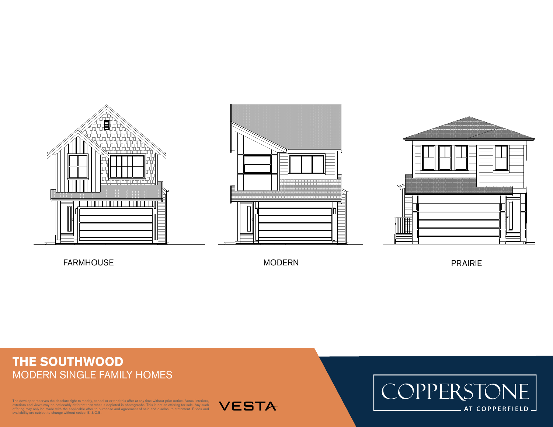





FARMHOUSE MODERN

PRAIRIE

## **THE SOUTHWOOD** MODERN SINGLE FAMILY HOMES

oper reserves the absolute right to modify, cancel or extend this offer at any time without prior notice. Actual interiors, exteriors and views may be noticeably different than what is depicted in photographs. This is not an offering for sale. Any such<br>offering may only be made with the applicable offer to purchase and agreement of sale and dis